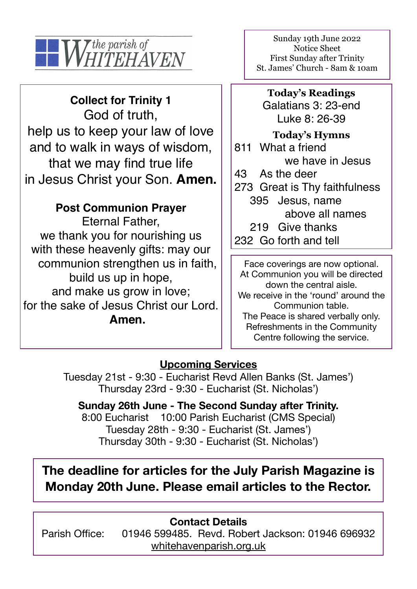

**Collect for Trinity 1**  God of truth, help us to keep your law of love and to walk in ways of wisdom, that we may find true life in Jesus Christ your Son. **Amen.** 

## **Post Communion Prayer**

Eternal Father, we thank you for nourishing us with these heavenly gifts: may our communion strengthen us in faith, build us up in hope, and make us grow in love; for the sake of Jesus Christ our Lord. **Amen.**

Sunday 19th June 2022 Notice Sheet First Sunday after Trinity St. James' Church - 8am & 10am

**Today's Readings** Galatians 3: 23-end Luke 8: 26-39

**Today's Hymns** 811 What a friend we have in Jesus 43 As the deer 273 Great is Thy faithfulness 395 Jesus, name above all names 219 Give thanks 232 Go forth and tell

Face coverings are now optional. At Communion you will be directed down the central aisle. We receive in the 'round' around the Communion table. The Peace is shared verbally only. Refreshments in the Community Centre following the service.

### **Upcoming Services**

Tuesday 21st - 9:30 - Eucharist Revd Allen Banks (St. James') Thursday 23rd - 9:30 - Eucharist (St. Nicholas')

**Sunday 26th June - The Second Sunday after Trinity.**  8:00 Eucharist 10:00 Parish Eucharist (CMS Special) Tuesday 28th - 9:30 - Eucharist (St. James') Thursday 30th - 9:30 - Eucharist (St. Nicholas')

# **The deadline for articles for the July Parish Magazine is Monday 20th June. Please email articles to the Rector.**

**Contact Details**  Parish Office: 01946 599485. Revd. Robert Jackson: 01946 696932 [whitehavenparish.org.uk](http://whitehavenparish.org.uk)